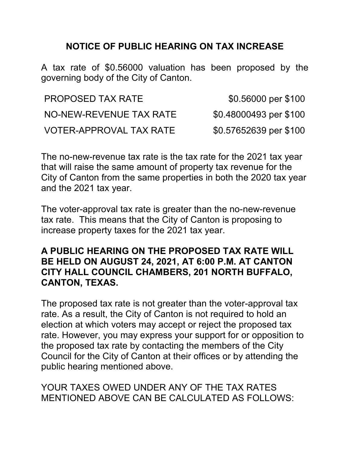## **NOTICE OF PUBLIC HEARING ON TAX INCREASE**

A tax rate of \$0.56000 valuation has been proposed by the governing body of the City of Canton.

| <b>PROPOSED TAX RATE</b> | \$0.56000 per \$100    |
|--------------------------|------------------------|
| NO-NEW-REVENUE TAX RATE  | \$0.48000493 per \$100 |
| VOTER-APPROVAL TAX RATE  | \$0.57652639 per \$100 |

The no-new-revenue tax rate is the tax rate for the 2021 tax year that will raise the same amount of property tax revenue for the City of Canton from the same properties in both the 2020 tax year and the 2021 tax year.

The voter-approval tax rate is greater than the no-new-revenue tax rate. This means that the City of Canton is proposing to increase property taxes for the 2021 tax year.

## **A PUBLIC HEARING ON THE PROPOSED TAX RATE WILL BE HELD ON AUGUST 24, 2021, AT 6:00 P.M. AT CANTON CITY HALL COUNCIL CHAMBERS, 201 NORTH BUFFALO, CANTON, TEXAS.**

The proposed tax rate is not greater than the voter-approval tax rate. As a result, the City of Canton is not required to hold an election at which voters may accept or reject the proposed tax rate. However, you may express your support for or opposition to the proposed tax rate by contacting the members of the City Council for the City of Canton at their offices or by attending the public hearing mentioned above.

## YOUR TAXES OWED UNDER ANY OF THE TAX RATES MENTIONED ABOVE CAN BE CALCULATED AS FOLLOWS: